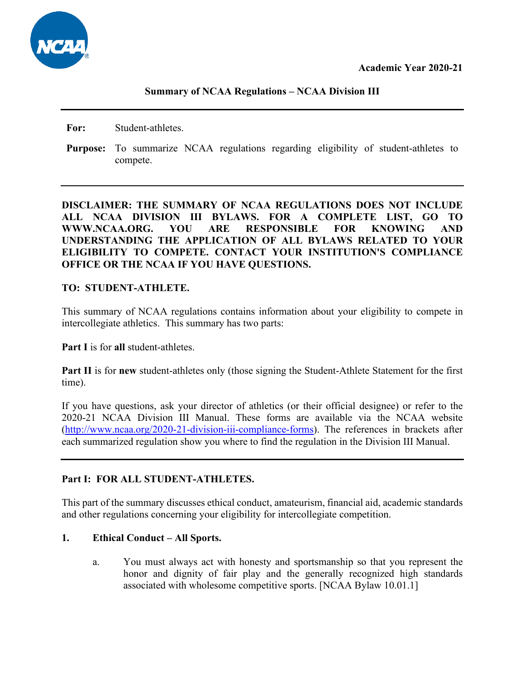**For:** Student-athletes.

**Purpose:** To summarize NCAA regulations regarding eligibility of student-athletes to compete.

# **DISCLAIMER: THE SUMMARY OF NCAA REGULATIONS DOES NOT INCLUDE ALL NCAA DIVISION III BYLAWS. FOR A COMPLETE LIST, GO TO WWW.NCAA.ORG. YOU ARE RESPONSIBLE FOR KNOWING AND UNDERSTANDING THE APPLICATION OF ALL BYLAWS RELATED TO YOUR ELIGIBILITY TO COMPETE. CONTACT YOUR INSTITUTION'S COMPLIANCE OFFICE OR THE NCAA IF YOU HAVE QUESTIONS.**

## **TO: STUDENT-ATHLETE.**

This summary of NCAA regulations contains information about your eligibility to compete in intercollegiate athletics. This summary has two parts:

**Part I** is for **all** student-athletes.

**Part II** is for **new** student-athletes only (those signing the Student-Athlete Statement for the first time).

If you have questions, ask your director of athletics (or their official designee) or refer to the 2020-21 NCAA Division III Manual. These forms are available via the NCAA website [\(http://www.ncaa.org/2020-21-division-iii-compliance-forms\)](http://www.ncaa.org/2020-21-division-iii-compliance-forms). The references in brackets after each summarized regulation show you where to find the regulation in the Division III Manual.

## **Part I: FOR ALL STUDENT-ATHLETES.**

This part of the summary discusses ethical conduct, amateurism, financial aid, academic standards and other regulations concerning your eligibility for intercollegiate competition.

## **1. Ethical Conduct – All Sports.**

a. You must always act with honesty and sportsmanship so that you represent the honor and dignity of fair play and the generally recognized high standards associated with wholesome competitive sports. [NCAA Bylaw 10.01.1]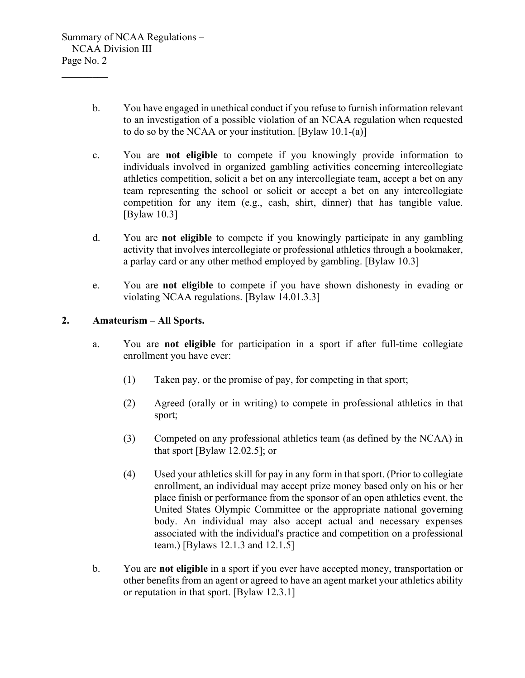- b. You have engaged in unethical conduct if you refuse to furnish information relevant to an investigation of a possible violation of an NCAA regulation when requested to do so by the NCAA or your institution. [Bylaw 10.1-(a)]
- c. You are **not eligible** to compete if you knowingly provide information to individuals involved in organized gambling activities concerning intercollegiate athletics competition, solicit a bet on any intercollegiate team, accept a bet on any team representing the school or solicit or accept a bet on any intercollegiate competition for any item (e.g., cash, shirt, dinner) that has tangible value. [Bylaw 10.3]
- d. You are **not eligible** to compete if you knowingly participate in any gambling activity that involves intercollegiate or professional athletics through a bookmaker, a parlay card or any other method employed by gambling. [Bylaw 10.3]
- e. You are **not eligible** to compete if you have shown dishonesty in evading or violating NCAA regulations. [Bylaw 14.01.3.3]

## **2. Amateurism – All Sports.**

- a. You are **not eligible** for participation in a sport if after full-time collegiate enrollment you have ever:
	- (1) Taken pay, or the promise of pay, for competing in that sport;
	- (2) Agreed (orally or in writing) to compete in professional athletics in that sport;
	- (3) Competed on any professional athletics team (as defined by the NCAA) in that sport [Bylaw 12.02.5]; or
	- (4) Used your athletics skill for pay in any form in that sport. (Prior to collegiate enrollment, an individual may accept prize money based only on his or her place finish or performance from the sponsor of an open athletics event, the United States Olympic Committee or the appropriate national governing body. An individual may also accept actual and necessary expenses associated with the individual's practice and competition on a professional team.) [Bylaws 12.1.3 and 12.1.5]
- b. You are **not eligible** in a sport if you ever have accepted money, transportation or other benefits from an agent or agreed to have an agent market your athletics ability or reputation in that sport. [Bylaw 12.3.1]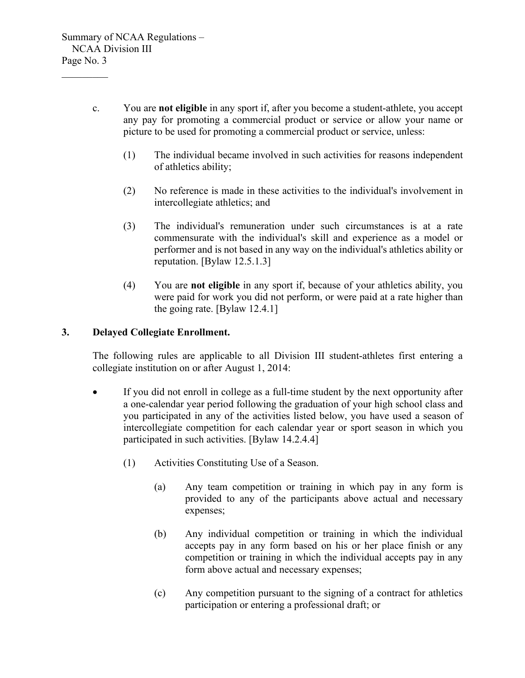- c. You are **not eligible** in any sport if, after you become a student-athlete, you accept any pay for promoting a commercial product or service or allow your name or picture to be used for promoting a commercial product or service, unless:
	- (1) The individual became involved in such activities for reasons independent of athletics ability;
	- (2) No reference is made in these activities to the individual's involvement in intercollegiate athletics; and
	- (3) The individual's remuneration under such circumstances is at a rate commensurate with the individual's skill and experience as a model or performer and is not based in any way on the individual's athletics ability or reputation. [Bylaw 12.5.1.3]
	- (4) You are **not eligible** in any sport if, because of your athletics ability, you were paid for work you did not perform, or were paid at a rate higher than the going rate. [Bylaw 12.4.1]

## **3. Delayed Collegiate Enrollment.**

The following rules are applicable to all Division III student-athletes first entering a collegiate institution on or after August 1, 2014:

- If you did not enroll in college as a full-time student by the next opportunity after a one-calendar year period following the graduation of your high school class and you participated in any of the activities listed below, you have used a season of intercollegiate competition for each calendar year or sport season in which you participated in such activities. [Bylaw 14.2.4.4]
	- (1) Activities Constituting Use of a Season.
		- (a) Any team competition or training in which pay in any form is provided to any of the participants above actual and necessary expenses;
		- (b) Any individual competition or training in which the individual accepts pay in any form based on his or her place finish or any competition or training in which the individual accepts pay in any form above actual and necessary expenses;
		- (c) Any competition pursuant to the signing of a contract for athletics participation or entering a professional draft; or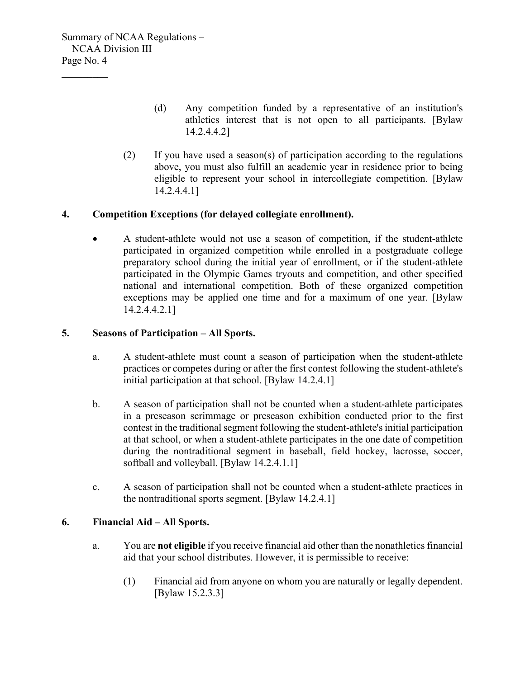- (d) Any competition funded by a representative of an institution's athletics interest that is not open to all participants. [Bylaw 14.2.4.4.2]
- (2) If you have used a season(s) of participation according to the regulations above, you must also fulfill an academic year in residence prior to being eligible to represent your school in intercollegiate competition. [Bylaw 14.2.4.4.1]

## **4. Competition Exceptions (for delayed collegiate enrollment).**

• A student-athlete would not use a season of competition, if the student-athlete participated in organized competition while enrolled in a postgraduate college preparatory school during the initial year of enrollment, or if the student-athlete participated in the Olympic Games tryouts and competition, and other specified national and international competition. Both of these organized competition exceptions may be applied one time and for a maximum of one year. [Bylaw 14.2.4.4.2.1]

#### **5. Seasons of Participation – All Sports.**

- a. A student-athlete must count a season of participation when the student-athlete practices or competes during or after the first contest following the student-athlete's initial participation at that school. [Bylaw 14.2.4.1]
- b. A season of participation shall not be counted when a student-athlete participates in a preseason scrimmage or preseason exhibition conducted prior to the first contest in the traditional segment following the student-athlete's initial participation at that school, or when a student-athlete participates in the one date of competition during the nontraditional segment in baseball, field hockey, lacrosse, soccer, softball and volleyball. [Bylaw 14.2.4.1.1]
- c. A season of participation shall not be counted when a student-athlete practices in the nontraditional sports segment. [Bylaw 14.2.4.1]

## **6. Financial Aid – All Sports.**

- a. You are **not eligible** if you receive financial aid other than the nonathletics financial aid that your school distributes. However, it is permissible to receive:
	- (1) Financial aid from anyone on whom you are naturally or legally dependent. [Bylaw 15.2.3.3]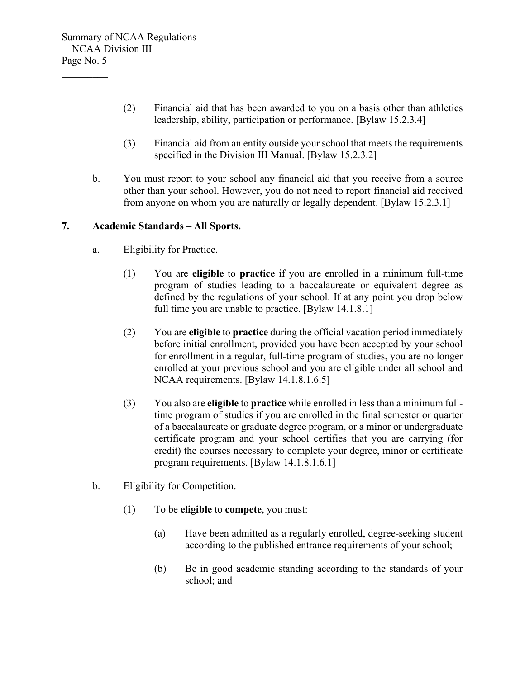- (2) Financial aid that has been awarded to you on a basis other than athletics leadership, ability, participation or performance. [Bylaw 15.2.3.4]
- (3) Financial aid from an entity outside your school that meets the requirements specified in the Division III Manual. [Bylaw 15.2.3.2]
- b. You must report to your school any financial aid that you receive from a source other than your school. However, you do not need to report financial aid received from anyone on whom you are naturally or legally dependent. [Bylaw 15.2.3.1]

# **7. Academic Standards – All Sports.**

- a. Eligibility for Practice.
	- (1) You are **eligible** to **practice** if you are enrolled in a minimum full-time program of studies leading to a baccalaureate or equivalent degree as defined by the regulations of your school. If at any point you drop below full time you are unable to practice. [Bylaw 14.1.8.1]
	- (2) You are **eligible** to **practice** during the official vacation period immediately before initial enrollment, provided you have been accepted by your school for enrollment in a regular, full-time program of studies, you are no longer enrolled at your previous school and you are eligible under all school and NCAA requirements. [Bylaw 14.1.8.1.6.5]
	- (3) You also are **eligible** to **practice** while enrolled in less than a minimum fulltime program of studies if you are enrolled in the final semester or quarter of a baccalaureate or graduate degree program, or a minor or undergraduate certificate program and your school certifies that you are carrying (for credit) the courses necessary to complete your degree, minor or certificate program requirements. [Bylaw 14.1.8.1.6.1]
- b. Eligibility for Competition.
	- (1) To be **eligible** to **compete**, you must:
		- (a) Have been admitted as a regularly enrolled, degree-seeking student according to the published entrance requirements of your school;
		- (b) Be in good academic standing according to the standards of your school; and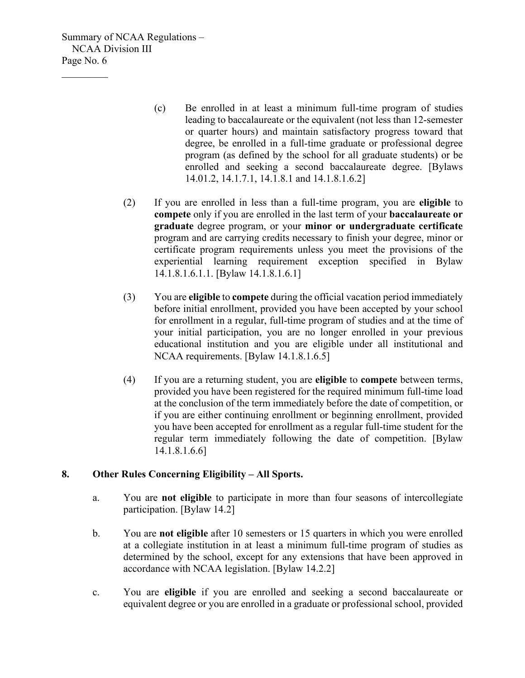$\mathcal{L}_\text{max}$ 

- (c) Be enrolled in at least a minimum full-time program of studies leading to baccalaureate or the equivalent (not less than 12-semester or quarter hours) and maintain satisfactory progress toward that degree, be enrolled in a full-time graduate or professional degree program (as defined by the school for all graduate students) or be enrolled and seeking a second baccalaureate degree. [Bylaws 14.01.2, 14.1.7.1, 14.1.8.1 and 14.1.8.1.6.2]
- (2) If you are enrolled in less than a full-time program, you are **eligible** to **compete** only if you are enrolled in the last term of your **baccalaureate or graduate** degree program, or your **minor or undergraduate certificate** program and are carrying credits necessary to finish your degree, minor or certificate program requirements unless you meet the provisions of the experiential learning requirement exception specified in Bylaw 14.1.8.1.6.1.1. [Bylaw 14.1.8.1.6.1]
- (3) You are **eligible** to **compete** during the official vacation period immediately before initial enrollment, provided you have been accepted by your school for enrollment in a regular, full-time program of studies and at the time of your initial participation, you are no longer enrolled in your previous educational institution and you are eligible under all institutional and NCAA requirements. [Bylaw 14.1.8.1.6.5]
- (4) If you are a returning student, you are **eligible** to **compete** between terms, provided you have been registered for the required minimum full-time load at the conclusion of the term immediately before the date of competition, or if you are either continuing enrollment or beginning enrollment, provided you have been accepted for enrollment as a regular full-time student for the regular term immediately following the date of competition. [Bylaw 14.1.8.1.6.6]

## **8. Other Rules Concerning Eligibility – All Sports.**

- a. You are **not eligible** to participate in more than four seasons of intercollegiate participation. [Bylaw 14.2]
- b. You are **not eligible** after 10 semesters or 15 quarters in which you were enrolled at a collegiate institution in at least a minimum full-time program of studies as determined by the school, except for any extensions that have been approved in accordance with NCAA legislation. [Bylaw 14.2.2]
- c. You are **eligible** if you are enrolled and seeking a second baccalaureate or equivalent degree or you are enrolled in a graduate or professional school, provided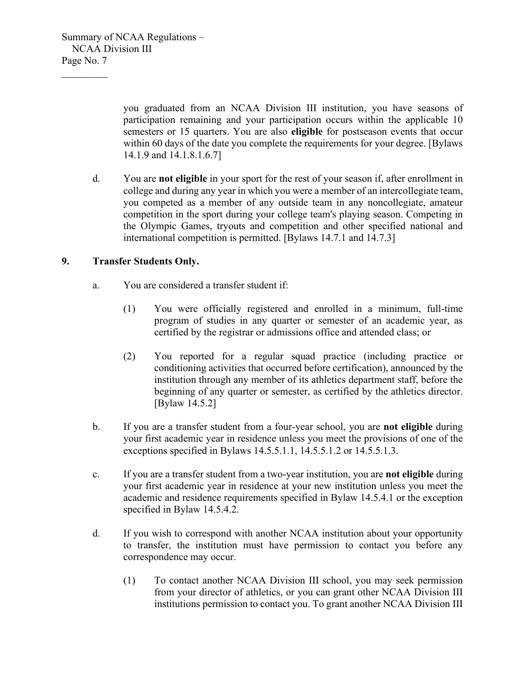$\mathcal{L}_\text{max}$ 

you graduated from an NCAA Division III institution, you have seasons of participation remaining and your participation occurs within the applicable 10 semesters or 15 quarters. You are also **eligible** for postseason events that occur within 60 days of the date you complete the requirements for your degree. [Bylaws 14.1.9 and 14.1.8.1.6.7]

d. You are **not eligible** in your sport for the rest of your season if, after enrollment in college and during any year in which you were a member of an intercollegiate team, you competed as a member of any outside team in any noncollegiate, amateur competition in the sport during your college team's playing season. Competing in the Olympic Games, tryouts and competition and other specified national and international competition is permitted. [Bylaws 14.7.1 and 14.7.3]

## **9. Transfer Students Only.**

- a. You are considered a transfer student if:
	- (1) You were officially registered and enrolled in a minimum, full-time program of studies in any quarter or semester of an academic year, as certified by the registrar or admissions office and attended class; or
	- (2) You reported for a regular squad practice (including practice or conditioning activities that occurred before certification), announced by the institution through any member of its athletics department staff, before the beginning of any quarter or semester, as certified by the athletics director. [Bylaw 14.5.2]
- b. If you are a transfer student from a four-year school, you are **not eligible** during your first academic year in residence unless you meet the provisions of one of the exceptions specified in Bylaws 14.5.5.1.1, 14.5.5.1.2 or 14.5.5.1.3.
- c. If you are a transfer student from a two-year institution, you are **not eligible** during your first academic year in residence at your new institution unless you meet the academic and residence requirements specified in Bylaw 14.5.4.1 or the exception specified in Bylaw 14.5.4.2.
- d. If you wish to correspond with another NCAA institution about your opportunity to transfer, the institution must have permission to contact you before any correspondence may occur.
	- (1) To contact another NCAA Division III school, you may seek permission from your director of athletics, or you can grant other NCAA Division III institutions permission to contact you. To grant another NCAA Division III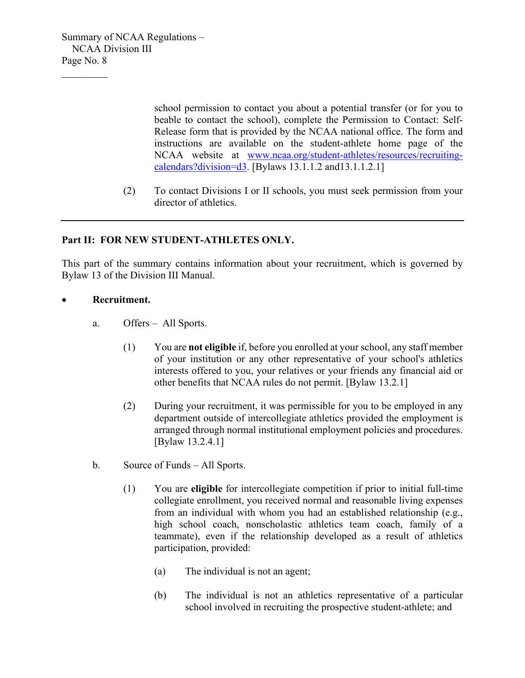$\mathcal{L}_\text{max}$ 

school permission to contact you about a potential transfer (or for you to beable to contact the school), complete the Permission to Contact: Self-Release form that is provided by the NCAA national office. The form and instructions are available on the student-athlete home page of the NCAA website at [www.ncaa.org/student-athletes/resources/recruiting](http://www.ncaa.org/student-athletes/resources/recruiting-calendars?division=d3)[calendars?division=d3.](http://www.ncaa.org/student-athletes/resources/recruiting-calendars?division=d3) [Bylaws 13.1.1.2 and13.1.1.2.1]

(2) To contact Divisions I or II schools, you must seek permission from your director of athletics.

## **Part II: FOR NEW STUDENT-ATHLETES ONLY.**

This part of the summary contains information about your recruitment, which is governed by Bylaw 13 of the Division III Manual.

#### • **Recruitment.**

- a. Offers All Sports.
	- (1) You are **not eligible** if, before you enrolled at your school, any staff member of your institution or any other representative of your school's athletics interests offered to you, your relatives or your friends any financial aid or other benefits that NCAA rules do not permit. [Bylaw 13.2.1]
	- (2) During your recruitment, it was permissible for you to be employed in any department outside of intercollegiate athletics provided the employment is arranged through normal institutional employment policies and procedures. [Bylaw 13.2.4.1]
- b. Source of Funds All Sports.
	- (1) You are **eligible** for intercollegiate competition if prior to initial full-time collegiate enrollment, you received normal and reasonable living expenses from an individual with whom you had an established relationship (e.g., high school coach, nonscholastic athletics team coach, family of a teammate), even if the relationship developed as a result of athletics participation, provided:
		- (a) The individual is not an agent;
		- (b) The individual is not an athletics representative of a particular school involved in recruiting the prospective student-athlete; and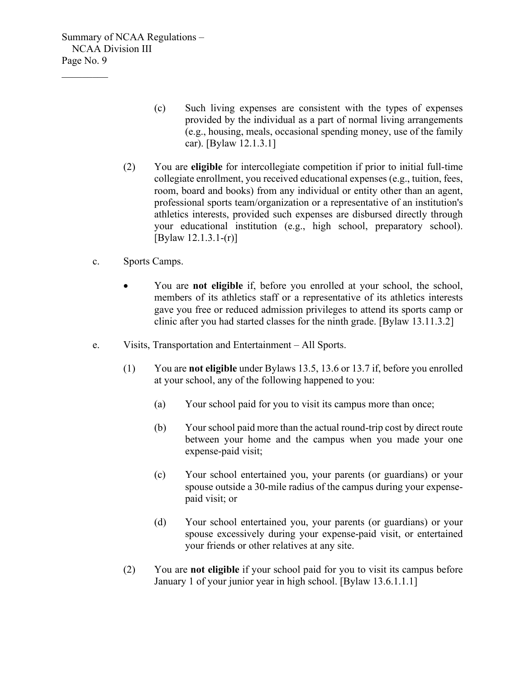$\mathcal{L}_\text{max}$ 

- (c) Such living expenses are consistent with the types of expenses provided by the individual as a part of normal living arrangements (e.g., housing, meals, occasional spending money, use of the family car). [Bylaw 12.1.3.1]
- (2) You are **eligible** for intercollegiate competition if prior to initial full-time collegiate enrollment, you received educational expenses (e.g., tuition, fees, room, board and books) from any individual or entity other than an agent, professional sports team/organization or a representative of an institution's athletics interests, provided such expenses are disbursed directly through your educational institution (e.g., high school, preparatory school). [Bylaw 12.1.3.1-(r)]
- c. Sports Camps.
	- You are **not eligible** if, before you enrolled at your school, the school, members of its athletics staff or a representative of its athletics interests gave you free or reduced admission privileges to attend its sports camp or clinic after you had started classes for the ninth grade. [Bylaw 13.11.3.2]
- e. Visits, Transportation and Entertainment All Sports.
	- (1) You are **not eligible** under Bylaws 13.5, 13.6 or 13.7 if, before you enrolled at your school, any of the following happened to you:
		- (a) Your school paid for you to visit its campus more than once;
		- (b) Your school paid more than the actual round-trip cost by direct route between your home and the campus when you made your one expense-paid visit;
		- (c) Your school entertained you, your parents (or guardians) or your spouse outside a 30-mile radius of the campus during your expensepaid visit; or
		- (d) Your school entertained you, your parents (or guardians) or your spouse excessively during your expense-paid visit, or entertained your friends or other relatives at any site.
	- (2) You are **not eligible** if your school paid for you to visit its campus before January 1 of your junior year in high school. [Bylaw 13.6.1.1.1]